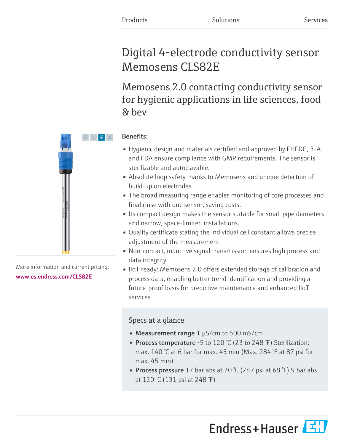# Digital 4-electrode conductivity sensor Memosens CLS82E

Memosens 2.0 contacting conductivity sensor for hygienic applications in life sciences, food & bev



More information and current pricing: [www.es.endress.com/CLS82E](https://www.es.endress.com/CLS82E)

# Benefits:

- Hygienic design and materials certified and approved by EHEDG, 3-A and FDA ensure compliance with GMP requirements. The sensor is sterilizable and autoclavable.
- Absolute loop safety thanks to Memosens and unique detection of build-up on electrodes.
- The broad measuring range enables monitoring of core processes and final rinse with one sensor, saving costs.
- Its compact design makes the sensor suitable for small pipe diameters and narrow, space-limited installations.
- Quality certificate stating the individual cell constant allows precise adjustment of the measurement.
- Non-contact, inductive signal transmission ensures high process and data integrity.
- IIoT ready: Memosens 2.0 offers extended storage of calibration and process data, enabling better trend identification and providing a future-proof basis for predictive maintenance and enhanced IIoT services.

# Specs at a glance

- Measurement range 1 µS/cm to 500 mS/cm
- Process temperature -5 to 120 °C (23 to 248 °F) Sterilization: max. 140 °C at 6 bar for max. 45 min (Max. 284 °F at 87 psi for max. 45 min)
- Process pressure 17 bar abs at 20  $\degree$  (247 psi at 68  $\degree$ F) 9 bar abs at 120 °C (131 psi at 248 °F)

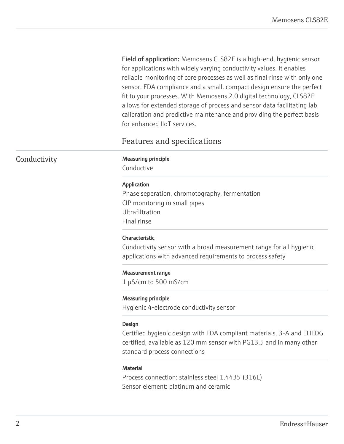Field of application: Memosens CLS82E is a high-end, hygienic sensor for applications with widely varying conductivity values. It enables reliable monitoring of core processes as well as final rinse with only one sensor. FDA compliance and a small, compact design ensure the perfect fit to your processes. With Memosens 2.0 digital technology, CLS82E allows for extended storage of process and sensor data facilitating lab calibration and predictive maintenance and providing the perfect basis for enhanced IIoT services.

# Features and specifications

### Conductivity Measuring principle

Conductive

#### Application

Phase seperation, chromotography, fermentation CIP monitoring in small pipes Ultrafiltration Final rinse

#### Characteristic

Conductivity sensor with a broad measurement range for all hygienic applications with advanced requirements to process safety

#### Measurement range

1 µS/cm to 500 mS/cm

#### Measuring principle

Hygienic 4-electrode conductivity sensor

#### Design

Certified hygienic design with FDA compliant materials, 3-A and EHEDG certified, available as 120 mm sensor with PG13.5 and in many other standard process connections

#### **Material**

Process connection: stainless steel 1.4435 (316L) Sensor element: platinum and ceramic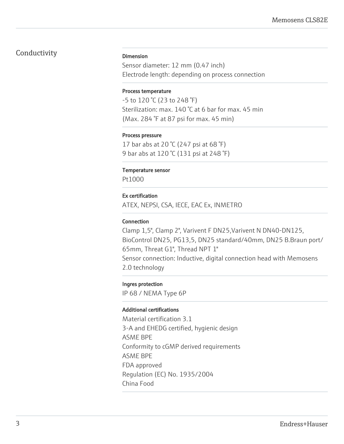## Conductivity

#### Dimension

Sensor diameter: 12 mm (0.47 inch) Electrode length: depending on process connection

#### Process temperature

-5 to 120 °C (23 to 248 °F) Sterilization: max. 140 °C at 6 bar for max. 45 min (Max. 284 °F at 87 psi for max. 45 min)

#### Process pressure

17 bar abs at 20 °C (247 psi at 68 °F) 9 bar abs at 120 °C (131 psi at 248 °F)

#### Temperature sensor

Pt1000

#### Ex certification

ATEX, NEPSI, CSA, IECE, EAC Ex, INMETRO

#### Connection

Clamp 1,5", Clamp 2", Varivent F DN25,Varivent N DN40-DN125, BioControl DN25, PG13,5, DN25 standard/40mm, DN25 B.Braun port/ 65mm, Threat G1", Thread NPT 1" Sensor connection: Inductive, digital connection head with Memosens 2.0 technology

#### Ingres protection

IP 68 / NEMA Type 6P

#### Additional certifications

Material certification 3.1 3-A and EHEDG certified, hygienic design ASME BPE Conformity to cGMP derived requirements ASME BPE FDA approved Regulation (EC) No. 1935/2004 China Food